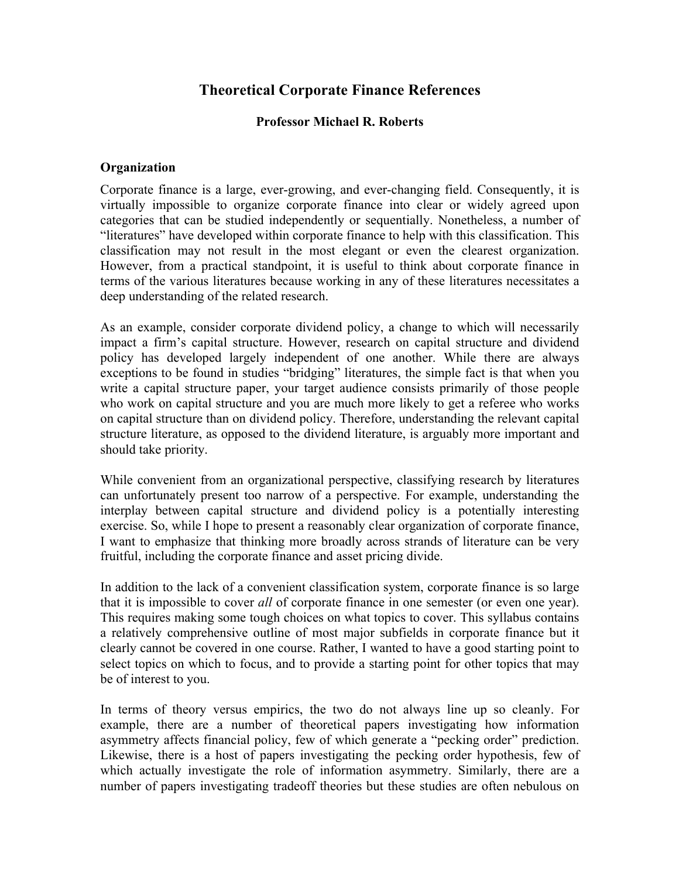# **Theoretical Corporate Finance References**

### **Professor Michael R. Roberts**

### **Organization**

Corporate finance is a large, ever-growing, and ever-changing field. Consequently, it is virtually impossible to organize corporate finance into clear or widely agreed upon categories that can be studied independently or sequentially. Nonetheless, a number of "literatures" have developed within corporate finance to help with this classification. This classification may not result in the most elegant or even the clearest organization. However, from a practical standpoint, it is useful to think about corporate finance in terms of the various literatures because working in any of these literatures necessitates a deep understanding of the related research.

As an example, consider corporate dividend policy, a change to which will necessarily impact a firm's capital structure. However, research on capital structure and dividend policy has developed largely independent of one another. While there are always exceptions to be found in studies "bridging" literatures, the simple fact is that when you write a capital structure paper, your target audience consists primarily of those people who work on capital structure and you are much more likely to get a referee who works on capital structure than on dividend policy. Therefore, understanding the relevant capital structure literature, as opposed to the dividend literature, is arguably more important and should take priority.

While convenient from an organizational perspective, classifying research by literatures can unfortunately present too narrow of a perspective. For example, understanding the interplay between capital structure and dividend policy is a potentially interesting exercise. So, while I hope to present a reasonably clear organization of corporate finance, I want to emphasize that thinking more broadly across strands of literature can be very fruitful, including the corporate finance and asset pricing divide.

In addition to the lack of a convenient classification system, corporate finance is so large that it is impossible to cover *all* of corporate finance in one semester (or even one year). This requires making some tough choices on what topics to cover. This syllabus contains a relatively comprehensive outline of most major subfields in corporate finance but it clearly cannot be covered in one course. Rather, I wanted to have a good starting point to select topics on which to focus, and to provide a starting point for other topics that may be of interest to you.

In terms of theory versus empirics, the two do not always line up so cleanly. For example, there are a number of theoretical papers investigating how information asymmetry affects financial policy, few of which generate a "pecking order" prediction. Likewise, there is a host of papers investigating the pecking order hypothesis, few of which actually investigate the role of information asymmetry. Similarly, there are a number of papers investigating tradeoff theories but these studies are often nebulous on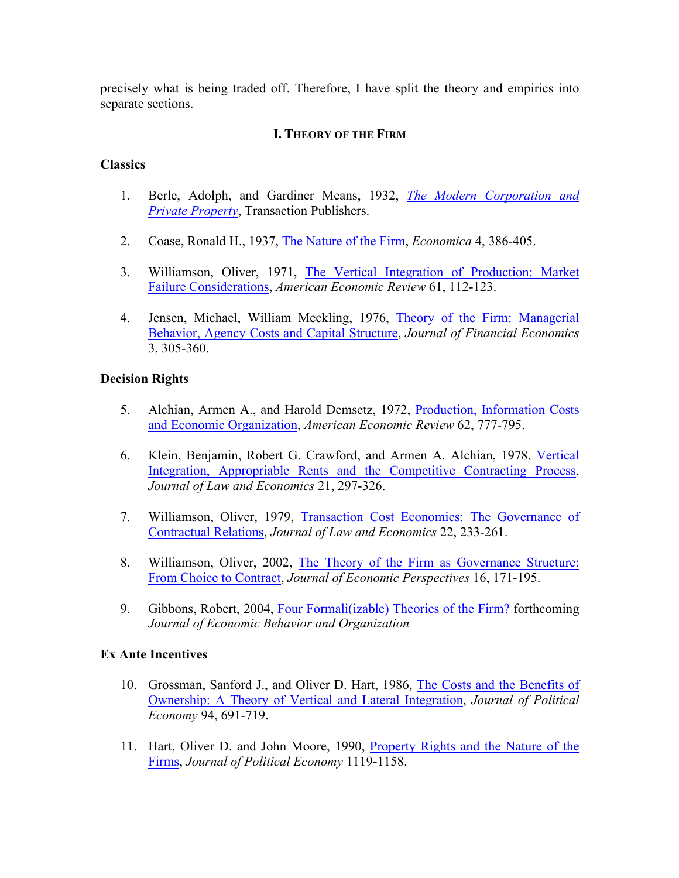precisely what is being traded off. Therefore, I have split the theory and empirics into separate sections.

# **I. THEORY OF THE FIRM**

### **Classics**

- 1. Berle, Adolph, and Gardiner Means, 1932, *The Modern Corporation and Private Property*, Transaction Publishers.
- 2. Coase, Ronald H., 1937, The Nature of the Firm, *Economica* 4, 386-405.
- 3. Williamson, Oliver, 1971, The Vertical Integration of Production: Market Failure Considerations, *American Economic Review* 61, 112-123.
- 4. Jensen, Michael, William Meckling, 1976, Theory of the Firm: Managerial Behavior, Agency Costs and Capital Structure, *Journal of Financial Economics*  3, 305-360.

### **Decision Rights**

- 5. Alchian, Armen A., and Harold Demsetz, 1972, Production, Information Costs and Economic Organization, *American Economic Review* 62, 777-795.
- 6. Klein, Benjamin, Robert G. Crawford, and Armen A. Alchian, 1978, Vertical Integration, Appropriable Rents and the Competitive Contracting Process, *Journal of Law and Economics* 21, 297-326.
- 7. Williamson, Oliver, 1979, Transaction Cost Economics: The Governance of Contractual Relations, *Journal of Law and Economics* 22, 233-261.
- 8. Williamson, Oliver, 2002, The Theory of the Firm as Governance Structure: From Choice to Contract, *Journal of Economic Perspectives* 16, 171-195.
- 9. Gibbons, Robert, 2004, Four Formali(izable) Theories of the Firm? forthcoming *Journal of Economic Behavior and Organization*

### **Ex Ante Incentives**

- 10. Grossman, Sanford J., and Oliver D. Hart, 1986, The Costs and the Benefits of Ownership: A Theory of Vertical and Lateral Integration, *Journal of Political Economy* 94, 691-719.
- 11. Hart, Oliver D. and John Moore, 1990, Property Rights and the Nature of the Firms, *Journal of Political Economy* 1119-1158.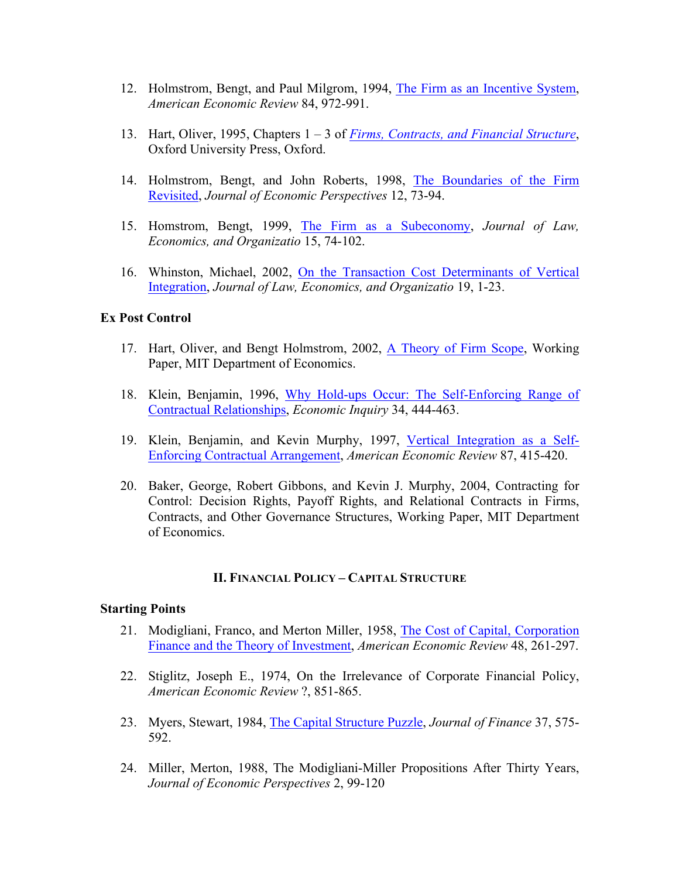- 12. Holmstrom, Bengt, and Paul Milgrom, 1994, The Firm as an Incentive System, *American Economic Review* 84, 972-991.
- 13. Hart, Oliver, 1995, Chapters 1 3 of *Firms, Contracts, and Financial Structure*, Oxford University Press, Oxford.
- 14. Holmstrom, Bengt, and John Roberts, 1998, The Boundaries of the Firm Revisited, *Journal of Economic Perspectives* 12, 73-94.
- 15. Homstrom, Bengt, 1999, The Firm as a Subeconomy, *Journal of Law, Economics, and Organizatio* 15, 74-102.
- 16. Whinston, Michael, 2002, On the Transaction Cost Determinants of Vertical Integration, *Journal of Law, Economics, and Organizatio* 19, 1-23.

### **Ex Post Control**

- 17. Hart, Oliver, and Bengt Holmstrom, 2002, A Theory of Firm Scope, Working Paper, MIT Department of Economics.
- 18. Klein, Benjamin, 1996, Why Hold-ups Occur: The Self-Enforcing Range of Contractual Relationships, *Economic Inquiry* 34, 444-463.
- 19. Klein, Benjamin, and Kevin Murphy, 1997, Vertical Integration as a Self-Enforcing Contractual Arrangement, *American Economic Review* 87, 415-420.
- 20. Baker, George, Robert Gibbons, and Kevin J. Murphy, 2004, Contracting for Control: Decision Rights, Payoff Rights, and Relational Contracts in Firms, Contracts, and Other Governance Structures, Working Paper, MIT Department of Economics.

### **II. FINANCIAL POLICY – CAPITAL STRUCTURE**

#### **Starting Points**

- 21. Modigliani, Franco, and Merton Miller, 1958, The Cost of Capital, Corporation Finance and the Theory of Investment, *American Economic Review* 48, 261-297.
- 22. Stiglitz, Joseph E., 1974, On the Irrelevance of Corporate Financial Policy, *American Economic Review* ?, 851-865.
- 23. Myers, Stewart, 1984, The Capital Structure Puzzle, *Journal of Finance* 37, 575- 592.
- 24. Miller, Merton, 1988, The Modigliani-Miller Propositions After Thirty Years, *Journal of Economic Perspectives* 2, 99-120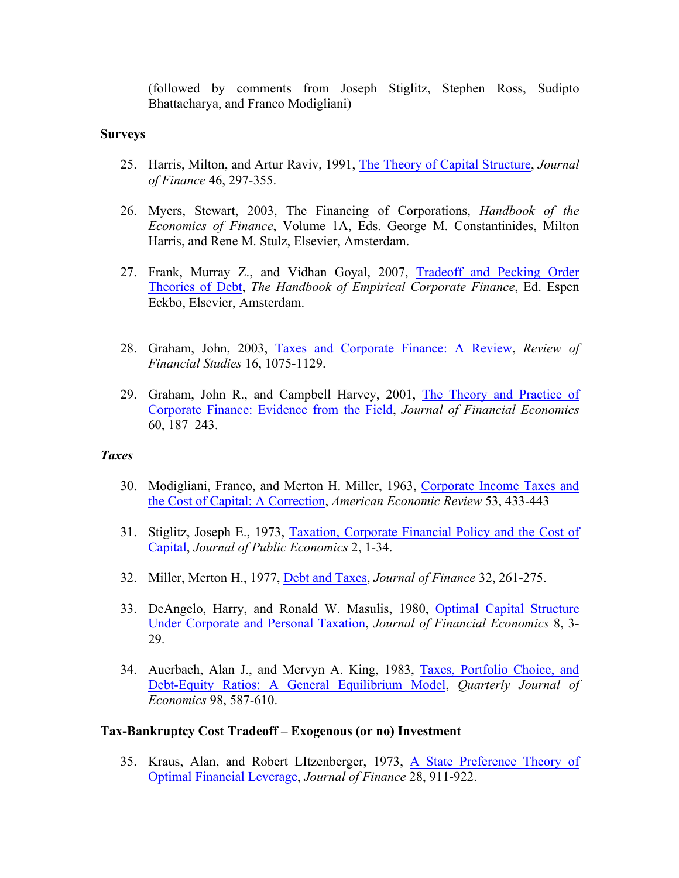(followed by comments from Joseph Stiglitz, Stephen Ross, Sudipto Bhattacharya, and Franco Modigliani)

#### **Surveys**

- 25. Harris, Milton, and Artur Raviv, 1991, The Theory of Capital Structure, *Journal of Finance* 46, 297-355.
- 26. Myers, Stewart, 2003, The Financing of Corporations, *Handbook of the Economics of Finance*, Volume 1A, Eds. George M. Constantinides, Milton Harris, and Rene M. Stulz, Elsevier, Amsterdam.
- 27. Frank, Murray Z., and Vidhan Goyal, 2007, Tradeoff and Pecking Order Theories of Debt, *The Handbook of Empirical Corporate Finance*, Ed. Espen Eckbo, Elsevier, Amsterdam.
- 28. Graham, John, 2003, Taxes and Corporate Finance: A Review, *Review of Financial Studies* 16, 1075-1129.
- 29. Graham, John R., and Campbell Harvey, 2001, The Theory and Practice of Corporate Finance: Evidence from the Field, *Journal of Financial Economics* 60, 187–243.

#### *Taxes*

- 30. Modigliani, Franco, and Merton H. Miller, 1963, Corporate Income Taxes and the Cost of Capital: A Correction, *American Economic Review* 53, 433-443
- 31. Stiglitz, Joseph E., 1973, Taxation, Corporate Financial Policy and the Cost of Capital, *Journal of Public Economics* 2, 1-34.
- 32. Miller, Merton H., 1977, Debt and Taxes, *Journal of Finance* 32, 261-275.
- 33. DeAngelo, Harry, and Ronald W. Masulis, 1980, Optimal Capital Structure Under Corporate and Personal Taxation, *Journal of Financial Economics* 8, 3- 29.
- 34. Auerbach, Alan J., and Mervyn A. King, 1983, Taxes, Portfolio Choice, and Debt-Equity Ratios: A General Equilibrium Model, *Quarterly Journal of Economics* 98, 587-610.

### **Tax-Bankruptcy Cost Tradeoff – Exogenous (or no) Investment**

35. Kraus, Alan, and Robert LItzenberger, 1973, A State Preference Theory of Optimal Financial Leverage, *Journal of Finance* 28, 911-922.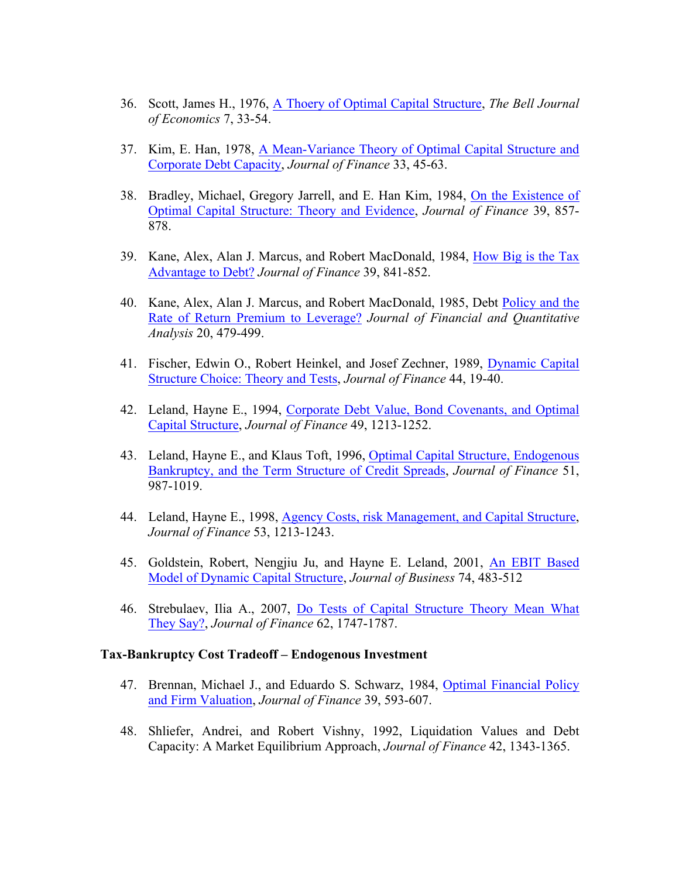- 36. Scott, James H., 1976, A Thoery of Optimal Capital Structure, *The Bell Journal of Economics* 7, 33-54.
- 37. Kim, E. Han, 1978, A Mean-Variance Theory of Optimal Capital Structure and Corporate Debt Capacity, *Journal of Finance* 33, 45-63.
- 38. Bradley, Michael, Gregory Jarrell, and E. Han Kim, 1984, On the Existence of Optimal Capital Structure: Theory and Evidence, *Journal of Finance* 39, 857- 878.
- 39. Kane, Alex, Alan J. Marcus, and Robert MacDonald, 1984, How Big is the Tax Advantage to Debt? *Journal of Finance* 39, 841-852.
- 40. Kane, Alex, Alan J. Marcus, and Robert MacDonald, 1985, Debt Policy and the Rate of Return Premium to Leverage? *Journal of Financial and Quantitative Analysis* 20, 479-499.
- 41. Fischer, Edwin O., Robert Heinkel, and Josef Zechner, 1989, Dynamic Capital Structure Choice: Theory and Tests, *Journal of Finance* 44, 19-40.
- 42. Leland, Hayne E., 1994, Corporate Debt Value, Bond Covenants, and Optimal Capital Structure, *Journal of Finance* 49, 1213-1252.
- 43. Leland, Hayne E., and Klaus Toft, 1996, Optimal Capital Structure, Endogenous Bankruptcy, and the Term Structure of Credit Spreads, *Journal of Finance* 51, 987-1019.
- 44. Leland, Hayne E., 1998, Agency Costs, risk Management, and Capital Structure, *Journal of Finance* 53, 1213-1243.
- 45. Goldstein, Robert, Nengjiu Ju, and Hayne E. Leland, 2001, An EBIT Based Model of Dynamic Capital Structure, *Journal of Business* 74, 483-512
- 46. Strebulaev, Ilia A., 2007, Do Tests of Capital Structure Theory Mean What They Say?, *Journal of Finance* 62, 1747-1787.

#### **Tax-Bankruptcy Cost Tradeoff – Endogenous Investment**

- 47. Brennan, Michael J., and Eduardo S. Schwarz, 1984, Optimal Financial Policy and Firm Valuation, *Journal of Finance* 39, 593-607.
- 48. Shliefer, Andrei, and Robert Vishny, 1992, Liquidation Values and Debt Capacity: A Market Equilibrium Approach, *Journal of Finance* 42, 1343-1365.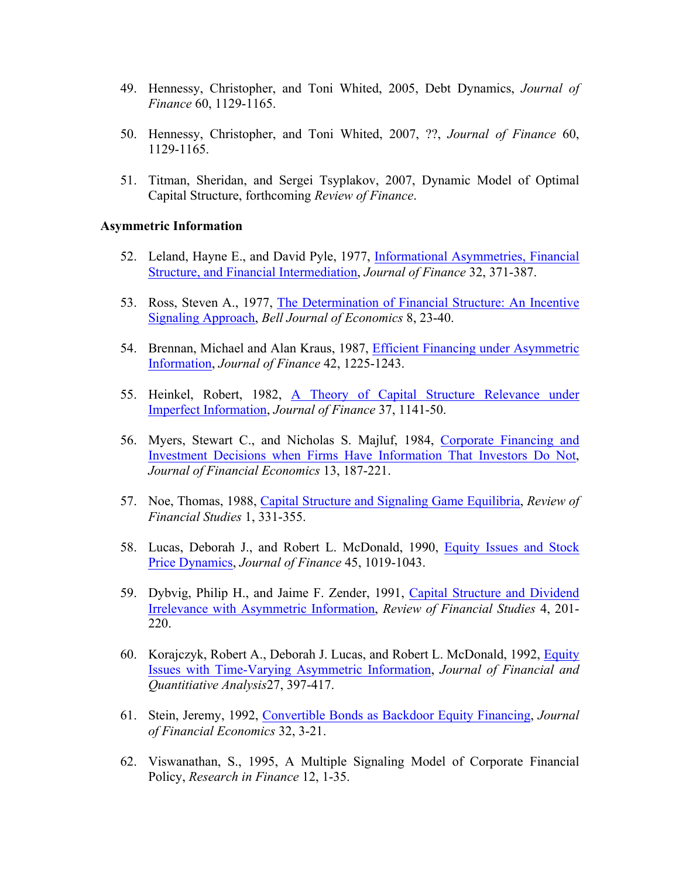- 49. Hennessy, Christopher, and Toni Whited, 2005, Debt Dynamics, *Journal of Finance* 60, 1129-1165.
- 50. Hennessy, Christopher, and Toni Whited, 2007, ??, *Journal of Finance* 60, 1129-1165.
- 51. Titman, Sheridan, and Sergei Tsyplakov, 2007, Dynamic Model of Optimal Capital Structure, forthcoming *Review of Finance*.

#### **Asymmetric Information**

- 52. Leland, Hayne E., and David Pyle, 1977, Informational Asymmetries, Financial Structure, and Financial Intermediation, *Journal of Finance* 32, 371-387.
- 53. Ross, Steven A., 1977, The Determination of Financial Structure: An Incentive Signaling Approach, *Bell Journal of Economics* 8, 23-40.
- 54. Brennan, Michael and Alan Kraus, 1987, Efficient Financing under Asymmetric Information, *Journal of Finance* 42, 1225-1243.
- 55. Heinkel, Robert, 1982, A Theory of Capital Structure Relevance under Imperfect Information, *Journal of Finance* 37, 1141-50.
- 56. Myers, Stewart C., and Nicholas S. Majluf, 1984, Corporate Financing and Investment Decisions when Firms Have Information That Investors Do Not, *Journal of Financial Economics* 13, 187-221.
- 57. Noe, Thomas, 1988, Capital Structure and Signaling Game Equilibria, *Review of Financial Studies* 1, 331-355.
- 58. Lucas, Deborah J., and Robert L. McDonald, 1990, Equity Issues and Stock Price Dynamics, *Journal of Finance* 45, 1019-1043.
- 59. Dybvig, Philip H., and Jaime F. Zender, 1991, Capital Structure and Dividend Irrelevance with Asymmetric Information, *Review of Financial Studies* 4, 201- 220.
- 60. Korajczyk, Robert A., Deborah J. Lucas, and Robert L. McDonald, 1992, Equity Issues with Time-Varying Asymmetric Information, *Journal of Financial and Quantitiative Analysis*27, 397-417.
- 61. Stein, Jeremy, 1992, Convertible Bonds as Backdoor Equity Financing, *Journal of Financial Economics* 32, 3-21.
- 62. Viswanathan, S., 1995, A Multiple Signaling Model of Corporate Financial Policy, *Research in Finance* 12, 1-35.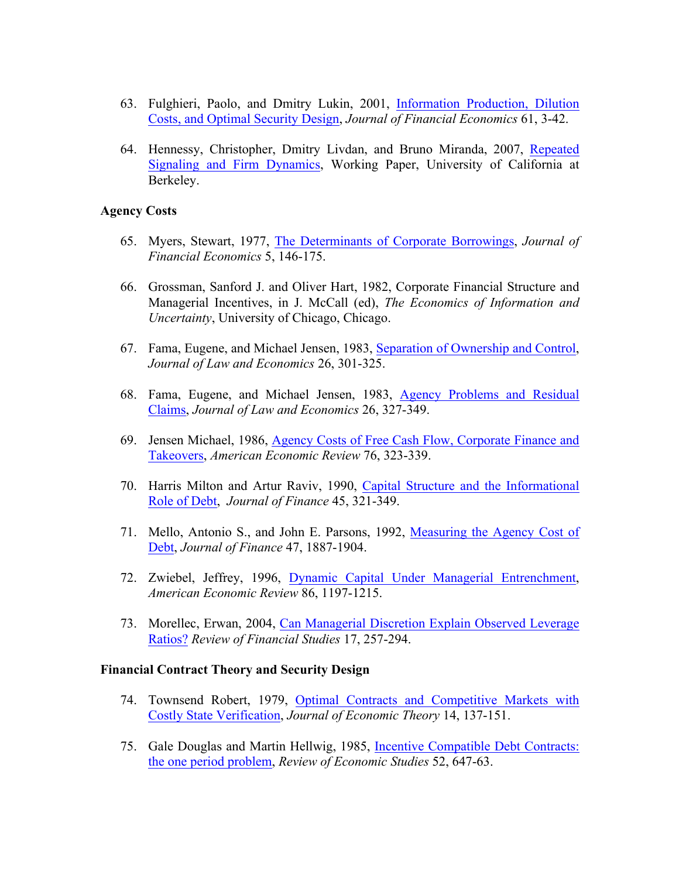- 63. Fulghieri, Paolo, and Dmitry Lukin, 2001, Information Production, Dilution Costs, and Optimal Security Design, *Journal of Financial Economics* 61, 3-42.
- 64. Hennessy, Christopher, Dmitry Livdan, and Bruno Miranda, 2007, Repeated Signaling and Firm Dynamics, Working Paper, University of California at Berkeley.

#### **Agency Costs**

- 65. Myers, Stewart, 1977, The Determinants of Corporate Borrowings, *Journal of Financial Economics* 5, 146-175.
- 66. Grossman, Sanford J. and Oliver Hart, 1982, Corporate Financial Structure and Managerial Incentives, in J. McCall (ed), *The Economics of Information and Uncertainty*, University of Chicago, Chicago.
- 67. Fama, Eugene, and Michael Jensen, 1983, Separation of Ownership and Control, *Journal of Law and Economics* 26, 301-325.
- 68. Fama, Eugene, and Michael Jensen, 1983, Agency Problems and Residual Claims, *Journal of Law and Economics* 26, 327-349.
- 69. Jensen Michael, 1986, Agency Costs of Free Cash Flow, Corporate Finance and Takeovers, *American Economic Review* 76, 323-339.
- 70. Harris Milton and Artur Raviv, 1990, Capital Structure and the Informational Role of Debt, *Journal of Finance* 45, 321-349.
- 71. Mello, Antonio S., and John E. Parsons, 1992, Measuring the Agency Cost of Debt, *Journal of Finance* 47, 1887-1904.
- 72. Zwiebel, Jeffrey, 1996, Dynamic Capital Under Managerial Entrenchment, *American Economic Review* 86, 1197-1215.
- 73. Morellec, Erwan, 2004, Can Managerial Discretion Explain Observed Leverage Ratios? *Review of Financial Studies* 17, 257-294.

#### **Financial Contract Theory and Security Design**

- 74. Townsend Robert, 1979, Optimal Contracts and Competitive Markets with Costly State Verification, *Journal of Economic Theory* 14, 137-151.
- 75. Gale Douglas and Martin Hellwig, 1985, Incentive Compatible Debt Contracts: the one period problem, *Review of Economic Studies* 52, 647-63.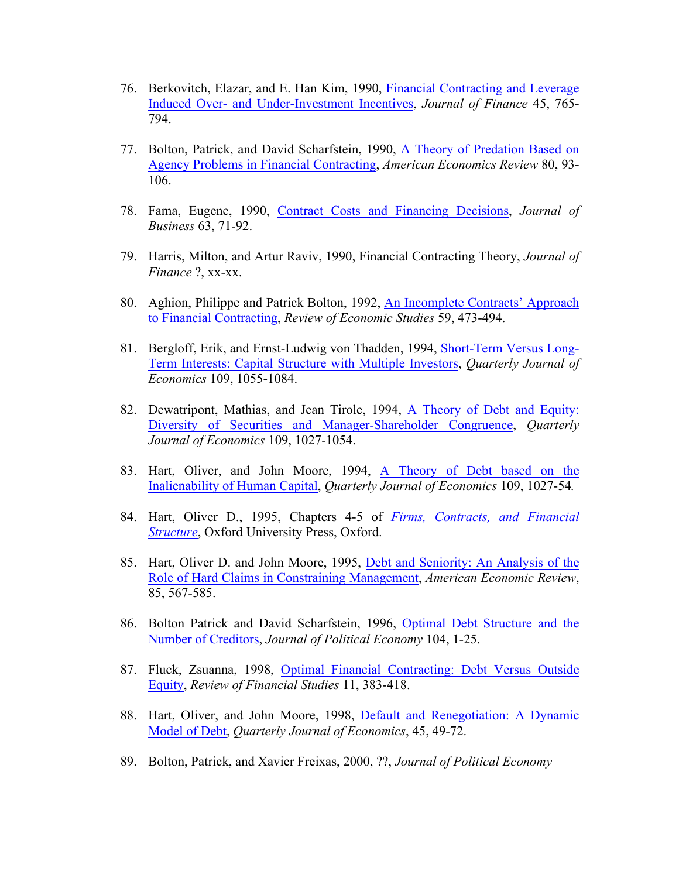- 76. Berkovitch, Elazar, and E. Han Kim, 1990, Financial Contracting and Leverage Induced Over- and Under-Investment Incentives, *Journal of Finance* 45, 765- 794.
- 77. Bolton, Patrick, and David Scharfstein, 1990, A Theory of Predation Based on Agency Problems in Financial Contracting, *American Economics Review* 80, 93- 106.
- 78. Fama, Eugene, 1990, Contract Costs and Financing Decisions, *Journal of Business* 63, 71-92.
- 79. Harris, Milton, and Artur Raviv, 1990, Financial Contracting Theory, *Journal of Finance* ?, xx-xx.
- 80. Aghion, Philippe and Patrick Bolton, 1992, An Incomplete Contracts' Approach to Financial Contracting, *Review of Economic Studies* 59, 473-494.
- 81. Bergloff, Erik, and Ernst-Ludwig von Thadden, 1994, Short-Term Versus Long-Term Interests: Capital Structure with Multiple Investors, *Quarterly Journal of Economics* 109, 1055-1084.
- 82. Dewatripont, Mathias, and Jean Tirole, 1994, A Theory of Debt and Equity: Diversity of Securities and Manager-Shareholder Congruence, *Quarterly Journal of Economics* 109, 1027-1054.
- 83. Hart, Oliver, and John Moore, 1994, A Theory of Debt based on the Inalienability of Human Capital, *Quarterly Journal of Economics* 109, 1027-54*.*
- 84. Hart, Oliver D., 1995, Chapters 4-5 of *Firms, Contracts, and Financial Structure*, Oxford University Press, Oxford.
- 85. Hart, Oliver D. and John Moore, 1995, Debt and Seniority: An Analysis of the Role of Hard Claims in Constraining Management, *American Economic Review*, 85, 567-585.
- 86. Bolton Patrick and David Scharfstein, 1996, Optimal Debt Structure and the Number of Creditors, *Journal of Political Economy* 104, 1-25.
- 87. Fluck, Zsuanna, 1998, Optimal Financial Contracting: Debt Versus Outside Equity, *Review of Financial Studies* 11, 383-418.
- 88. Hart, Oliver, and John Moore, 1998, Default and Renegotiation: A Dynamic Model of Debt, *Quarterly Journal of Economics*, 45, 49-72.
- 89. Bolton, Patrick, and Xavier Freixas, 2000, ??, *Journal of Political Economy*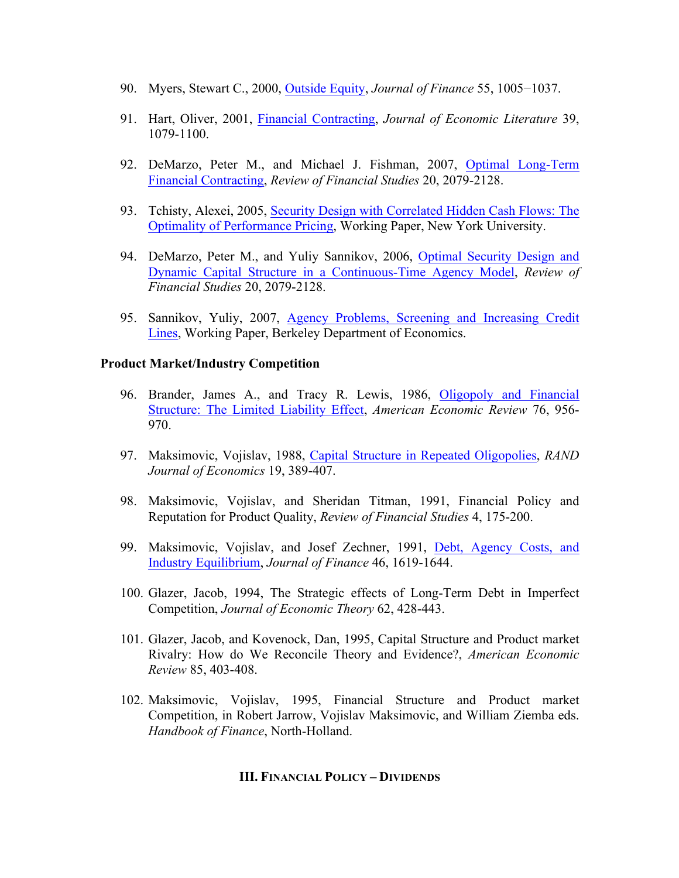- 90. Myers, Stewart C., 2000, Outside Equity, *Journal of Finance* 55, 1005−1037.
- 91. Hart, Oliver, 2001, Financial Contracting, *Journal of Economic Literature* 39, 1079-1100.
- 92. DeMarzo, Peter M., and Michael J. Fishman, 2007, Optimal Long-Term Financial Contracting, *Review of Financial Studies* 20, 2079-2128.
- 93. Tchisty, Alexei, 2005, Security Design with Correlated Hidden Cash Flows: The Optimality of Performance Pricing, Working Paper, New York University.
- 94. DeMarzo, Peter M., and Yuliy Sannikov, 2006, Optimal Security Design and Dynamic Capital Structure in a Continuous-Time Agency Model, *Review of Financial Studies* 20, 2079-2128.
- 95. Sannikov, Yuliy, 2007, Agency Problems, Screening and Increasing Credit Lines, Working Paper, Berkeley Department of Economics.

#### **Product Market/Industry Competition**

- 96. Brander, James A., and Tracy R. Lewis, 1986, Oligopoly and Financial Structure: The Limited Liability Effect, *American Economic Review* 76, 956- 970.
- 97. Maksimovic, Vojislav, 1988, Capital Structure in Repeated Oligopolies, *RAND Journal of Economics* 19, 389-407.
- 98. Maksimovic, Vojislav, and Sheridan Titman, 1991, Financial Policy and Reputation for Product Quality, *Review of Financial Studies* 4, 175-200.
- 99. Maksimovic, Vojislav, and Josef Zechner, 1991, Debt, Agency Costs, and Industry Equilibrium, *Journal of Finance* 46, 1619-1644.
- 100. Glazer, Jacob, 1994, The Strategic effects of Long-Term Debt in Imperfect Competition, *Journal of Economic Theory* 62, 428-443.
- 101. Glazer, Jacob, and Kovenock, Dan, 1995, Capital Structure and Product market Rivalry: How do We Reconcile Theory and Evidence?, *American Economic Review* 85, 403-408.
- 102. Maksimovic, Vojislav, 1995, Financial Structure and Product market Competition, in Robert Jarrow, Vojislav Maksimovic, and William Ziemba eds. *Handbook of Finance*, North-Holland.

#### **III. FINANCIAL POLICY – DIVIDENDS**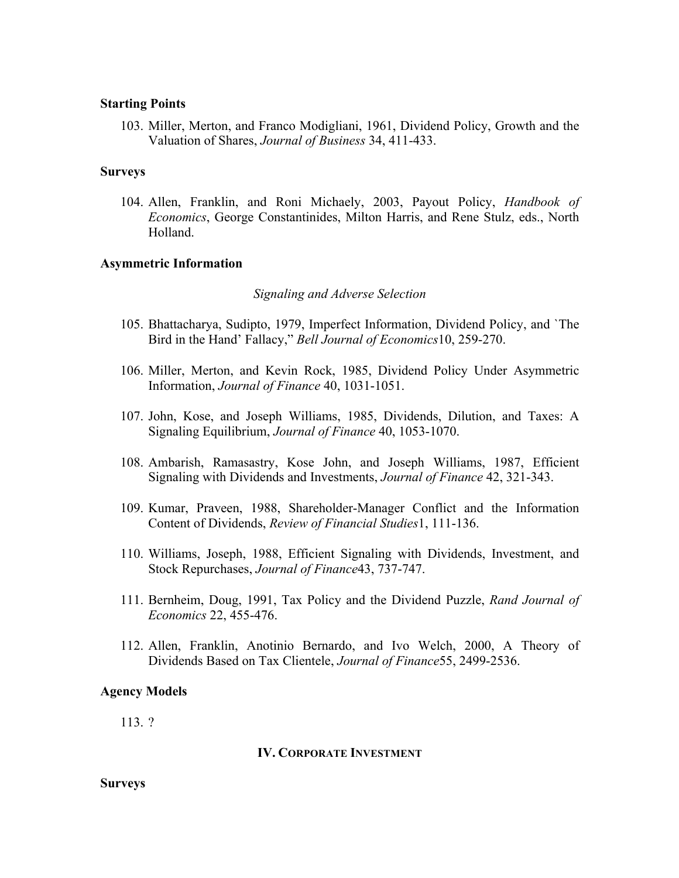#### **Starting Points**

103. Miller, Merton, and Franco Modigliani, 1961, Dividend Policy, Growth and the Valuation of Shares, *Journal of Business* 34, 411-433.

#### **Surveys**

104. Allen, Franklin, and Roni Michaely, 2003, Payout Policy, *Handbook of Economics*, George Constantinides, Milton Harris, and Rene Stulz, eds., North Holland.

#### **Asymmetric Information**

#### *Signaling and Adverse Selection*

- 105. Bhattacharya, Sudipto, 1979, Imperfect Information, Dividend Policy, and `The Bird in the Hand' Fallacy," *Bell Journal of Economics*10, 259-270.
- 106. Miller, Merton, and Kevin Rock, 1985, Dividend Policy Under Asymmetric Information, *Journal of Finance* 40, 1031-1051.
- 107. John, Kose, and Joseph Williams, 1985, Dividends, Dilution, and Taxes: A Signaling Equilibrium, *Journal of Finance* 40, 1053-1070.
- 108. Ambarish, Ramasastry, Kose John, and Joseph Williams, 1987, Efficient Signaling with Dividends and Investments, *Journal of Finance* 42, 321-343.
- 109. Kumar, Praveen, 1988, Shareholder-Manager Conflict and the Information Content of Dividends, *Review of Financial Studies*1, 111-136.
- 110. Williams, Joseph, 1988, Efficient Signaling with Dividends, Investment, and Stock Repurchases, *Journal of Finance*43, 737-747.
- 111. Bernheim, Doug, 1991, Tax Policy and the Dividend Puzzle, *Rand Journal of Economics* 22, 455-476.
- 112. Allen, Franklin, Anotinio Bernardo, and Ivo Welch, 2000, A Theory of Dividends Based on Tax Clientele, *Journal of Finance*55, 2499-2536.

#### **Agency Models**

113. ?

#### **IV. CORPORATE INVESTMENT**

**Surveys**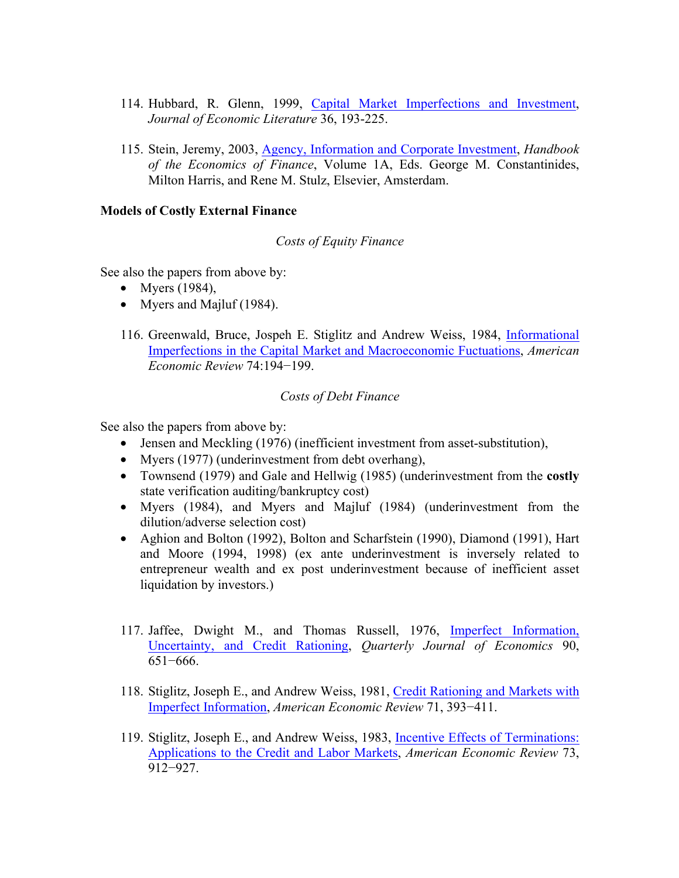- 114. Hubbard, R. Glenn, 1999, Capital Market Imperfections and Investment, *Journal of Economic Literature* 36, 193-225.
- 115. Stein, Jeremy, 2003, Agency, Information and Corporate Investment, *Handbook of the Economics of Finance*, Volume 1A, Eds. George M. Constantinides, Milton Harris, and Rene M. Stulz, Elsevier, Amsterdam.

### **Models of Costly External Finance**

#### *Costs of Equity Finance*

See also the papers from above by:

- Myers  $(1984)$ ,
- Myers and Majluf (1984).
- 116. Greenwald, Bruce, Jospeh E. Stiglitz and Andrew Weiss, 1984, Informational Imperfections in the Capital Market and Macroeconomic Fuctuations, *American Economic Review* 74:194−199.

### *Costs of Debt Finance*

See also the papers from above by:

- Jensen and Meckling (1976) (inefficient investment from asset-substitution),
- Myers (1977) (underinvestment from debt overhang).
- Townsend (1979) and Gale and Hellwig (1985) (underinvestment from the **costly** state verification auditing/bankruptcy cost)
- Myers (1984), and Myers and Majluf (1984) (underinvestment from the dilution/adverse selection cost)
- Aghion and Bolton (1992), Bolton and Scharfstein (1990), Diamond (1991), Hart and Moore (1994, 1998) (ex ante underinvestment is inversely related to entrepreneur wealth and ex post underinvestment because of inefficient asset liquidation by investors.)
- 117. Jaffee, Dwight M., and Thomas Russell, 1976, Imperfect Information, Uncertainty, and Credit Rationing, *Quarterly Journal of Economics* 90, 651−666.
- 118. Stiglitz, Joseph E., and Andrew Weiss, 1981, Credit Rationing and Markets with Imperfect Information, *American Economic Review* 71, 393−411.
- 119. Stiglitz, Joseph E., and Andrew Weiss, 1983, Incentive Effects of Terminations: Applications to the Credit and Labor Markets, *American Economic Review* 73, 912−927.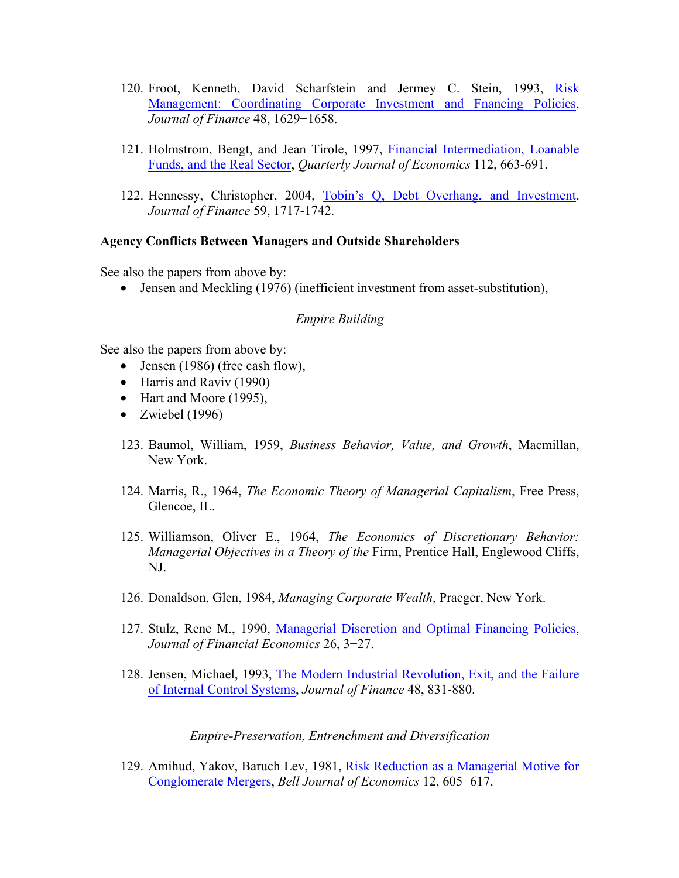- 120. Froot, Kenneth, David Scharfstein and Jermey C. Stein, 1993, Risk Management: Coordinating Corporate Investment and Fnancing Policies, *Journal of Finance* 48, 1629−1658.
- 121. Holmstrom, Bengt, and Jean Tirole, 1997, Financial Intermediation, Loanable Funds, and the Real Sector, *Quarterly Journal of Economics* 112, 663-691.
- 122. Hennessy, Christopher, 2004, Tobin's Q, Debt Overhang, and Investment, *Journal of Finance* 59, 1717-1742.

#### **Agency Conflicts Between Managers and Outside Shareholders**

See also the papers from above by:

• Jensen and Meckling (1976) (inefficient investment from asset-substitution),

#### *Empire Building*

See also the papers from above by:

- Jensen (1986) (free cash flow),
- Harris and Raviv (1990)
- Hart and Moore (1995),
- Zwiebel  $(1996)$
- 123. Baumol, William, 1959, *Business Behavior, Value, and Growth*, Macmillan, New York.
- 124. Marris, R., 1964, *The Economic Theory of Managerial Capitalism*, Free Press, Glencoe, IL.
- 125. Williamson, Oliver E., 1964, *The Economics of Discretionary Behavior: Managerial Objectives in a Theory of the* Firm, Prentice Hall, Englewood Cliffs, NJ.
- 126. Donaldson, Glen, 1984, *Managing Corporate Wealth*, Praeger, New York.
- 127. Stulz, Rene M., 1990, Managerial Discretion and Optimal Financing Policies, *Journal of Financial Economics* 26, 3−27.
- 128. Jensen, Michael, 1993, The Modern Industrial Revolution, Exit, and the Failure of Internal Control Systems, *Journal of Finance* 48, 831-880.

*Empire-Preservation, Entrenchment and Diversification*

129. Amihud, Yakov, Baruch Lev, 1981, Risk Reduction as a Managerial Motive for Conglomerate Mergers, *Bell Journal of Economics* 12, 605−617.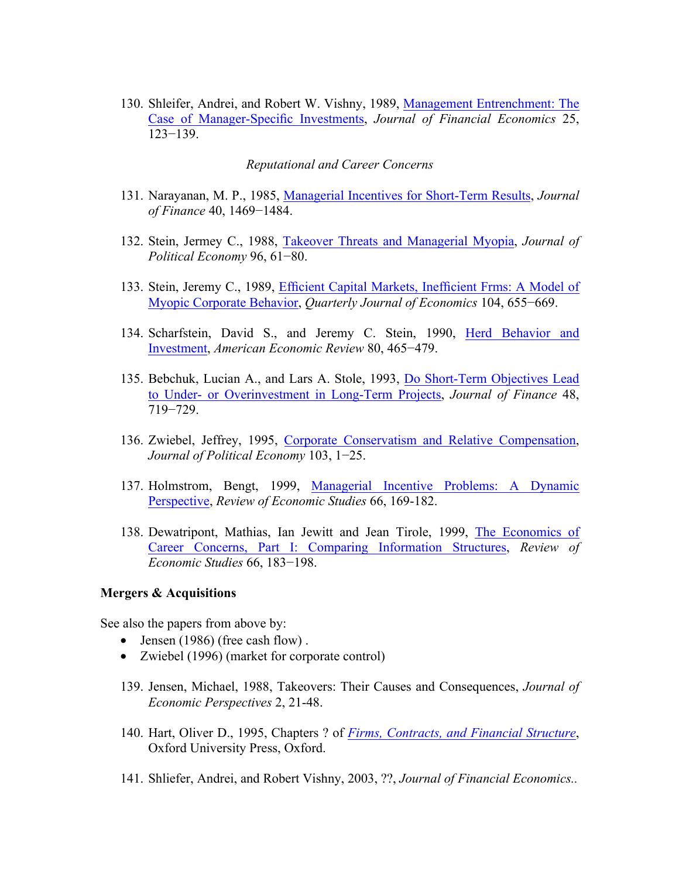130. Shleifer, Andrei, and Robert W. Vishny, 1989, Management Entrenchment: The Case of Manager-Specific Investments, *Journal of Financial Economics* 25, 123−139.

#### *Reputational and Career Concerns*

- 131. Narayanan, M. P., 1985, Managerial Incentives for Short-Term Results, *Journal of Finance* 40, 1469−1484.
- 132. Stein, Jermey C., 1988, Takeover Threats and Managerial Myopia, *Journal of Political Economy* 96, 61−80.
- 133. Stein, Jeremy C., 1989, Efficient Capital Markets, Inefficient Frms: A Model of Myopic Corporate Behavior, *Quarterly Journal of Economics* 104, 655−669.
- 134. Scharfstein, David S., and Jeremy C. Stein, 1990, Herd Behavior and Investment, *American Economic Review* 80, 465−479.
- 135. Bebchuk, Lucian A., and Lars A. Stole, 1993, Do Short-Term Objectives Lead to Under- or Overinvestment in Long-Term Projects, *Journal of Finance* 48, 719−729.
- 136. Zwiebel, Jeffrey, 1995, Corporate Conservatism and Relative Compensation, *Journal of Political Economy* 103, 1−25.
- 137. Holmstrom, Bengt, 1999, Managerial Incentive Problems: A Dynamic Perspective, *Review of Economic Studies* 66, 169-182.
- 138. Dewatripont, Mathias, Ian Jewitt and Jean Tirole, 1999, The Economics of Career Concerns, Part I: Comparing Information Structures, *Review of Economic Studies* 66, 183−198.

#### **Mergers & Acquisitions**

See also the papers from above by:

- Jensen (1986) (free cash flow).
- Zwiebel (1996) (market for corporate control)
- 139. Jensen, Michael, 1988, Takeovers: Their Causes and Consequences, *Journal of Economic Perspectives* 2, 21-48.
- 140. Hart, Oliver D., 1995, Chapters ? of *Firms, Contracts, and Financial Structure*, Oxford University Press, Oxford.
- 141. Shliefer, Andrei, and Robert Vishny, 2003, ??, *Journal of Financial Economics..*